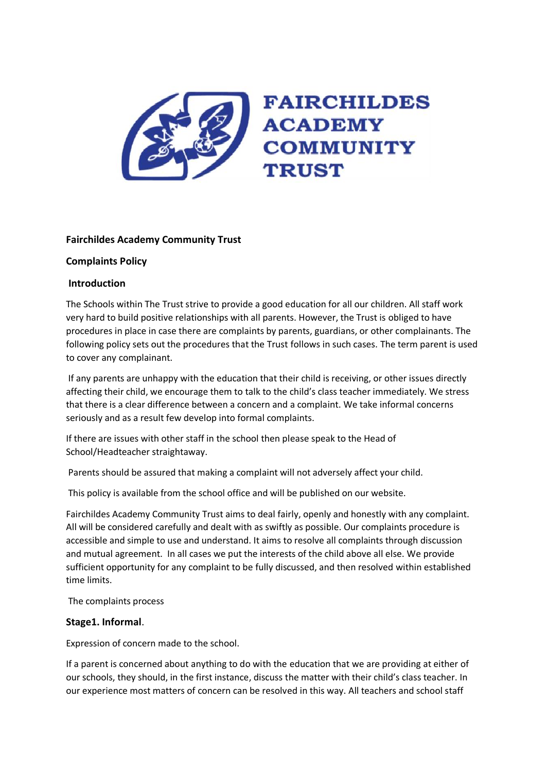

# **Fairchildes Academy Community Trust**

### **Complaints Policy**

#### **Introduction**

The Schools within The Trust strive to provide a good education for all our children. All staff work very hard to build positive relationships with all parents. However, the Trust is obliged to have procedures in place in case there are complaints by parents, guardians, or other complainants. The following policy sets out the procedures that the Trust follows in such cases. The term parent is used to cover any complainant.

If any parents are unhappy with the education that their child is receiving, or other issues directly affecting their child, we encourage them to talk to the child's class teacher immediately. We stress that there is a clear difference between a concern and a complaint. We take informal concerns seriously and as a result few develop into formal complaints.

If there are issues with other staff in the school then please speak to the Head of School/Headteacher straightaway.

Parents should be assured that making a complaint will not adversely affect your child.

This policy is available from the school office and will be published on our website.

Fairchildes Academy Community Trust aims to deal fairly, openly and honestly with any complaint. All will be considered carefully and dealt with as swiftly as possible. Our complaints procedure is accessible and simple to use and understand. It aims to resolve all complaints through discussion and mutual agreement. In all cases we put the interests of the child above all else. We provide sufficient opportunity for any complaint to be fully discussed, and then resolved within established time limits.

The complaints process

### **Stage1. Informal**.

Expression of concern made to the school.

If a parent is concerned about anything to do with the education that we are providing at either of our schools, they should, in the first instance, discuss the matter with their child's class teacher. In our experience most matters of concern can be resolved in this way. All teachers and school staff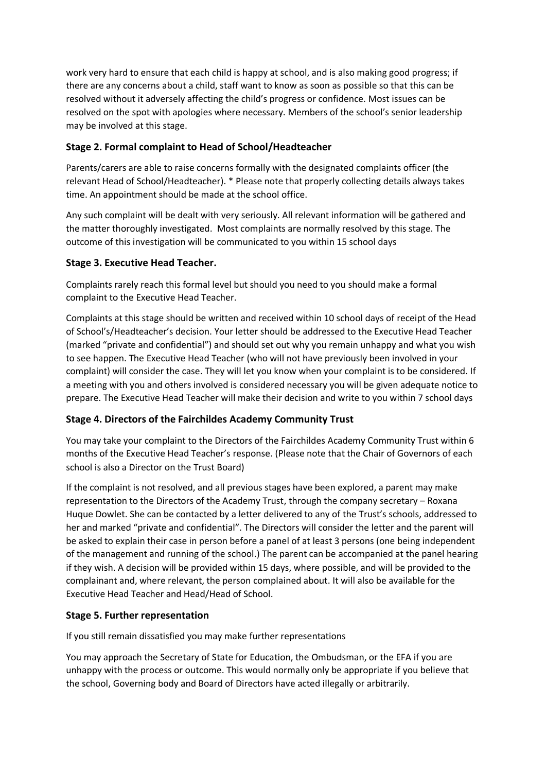work very hard to ensure that each child is happy at school, and is also making good progress; if there are any concerns about a child, staff want to know as soon as possible so that this can be resolved without it adversely affecting the child's progress or confidence. Most issues can be resolved on the spot with apologies where necessary. Members of the school's senior leadership may be involved at this stage.

# **Stage 2. Formal complaint to Head of School/Headteacher**

Parents/carers are able to raise concerns formally with the designated complaints officer (the relevant Head of School/Headteacher). \* Please note that properly collecting details always takes time. An appointment should be made at the school office.

Any such complaint will be dealt with very seriously. All relevant information will be gathered and the matter thoroughly investigated. Most complaints are normally resolved by this stage. The outcome of this investigation will be communicated to you within 15 school days

# **Stage 3. Executive Head Teacher.**

Complaints rarely reach this formal level but should you need to you should make a formal complaint to the Executive Head Teacher.

Complaints at this stage should be written and received within 10 school days of receipt of the Head of School's/Headteacher's decision. Your letter should be addressed to the Executive Head Teacher (marked "private and confidential") and should set out why you remain unhappy and what you wish to see happen. The Executive Head Teacher (who will not have previously been involved in your complaint) will consider the case. They will let you know when your complaint is to be considered. If a meeting with you and others involved is considered necessary you will be given adequate notice to prepare. The Executive Head Teacher will make their decision and write to you within 7 school days

### **Stage 4. Directors of the Fairchildes Academy Community Trust**

You may take your complaint to the Directors of the Fairchildes Academy Community Trust within 6 months of the Executive Head Teacher's response. (Please note that the Chair of Governors of each school is also a Director on the Trust Board)

If the complaint is not resolved, and all previous stages have been explored, a parent may make representation to the Directors of the Academy Trust, through the company secretary – Roxana Huque Dowlet. She can be contacted by a letter delivered to any of the Trust's schools, addressed to her and marked "private and confidential". The Directors will consider the letter and the parent will be asked to explain their case in person before a panel of at least 3 persons (one being independent of the management and running of the school.) The parent can be accompanied at the panel hearing if they wish. A decision will be provided within 15 days, where possible, and will be provided to the complainant and, where relevant, the person complained about. It will also be available for the Executive Head Teacher and Head/Head of School.

### **Stage 5. Further representation**

If you still remain dissatisfied you may make further representations

You may approach the Secretary of State for Education, the Ombudsman, or the EFA if you are unhappy with the process or outcome. This would normally only be appropriate if you believe that the school, Governing body and Board of Directors have acted illegally or arbitrarily.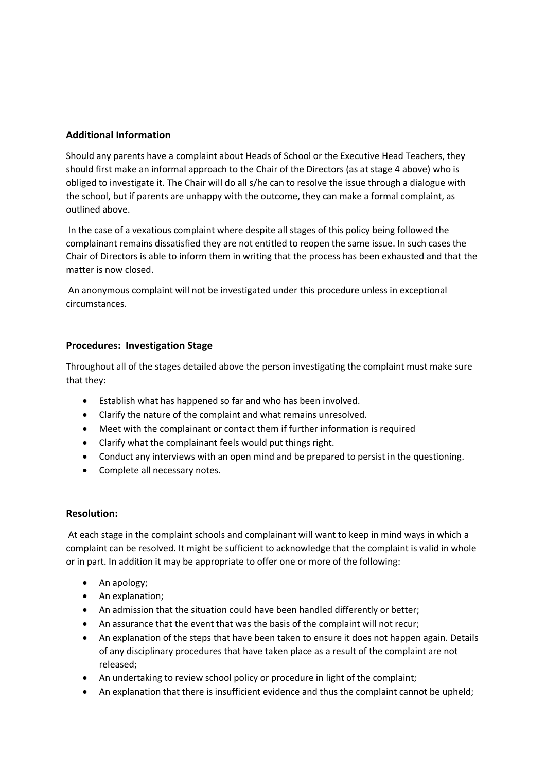# **Additional Information**

Should any parents have a complaint about Heads of School or the Executive Head Teachers, they should first make an informal approach to the Chair of the Directors (as at stage 4 above) who is obliged to investigate it. The Chair will do all s/he can to resolve the issue through a dialogue with the school, but if parents are unhappy with the outcome, they can make a formal complaint, as outlined above.

In the case of a vexatious complaint where despite all stages of this policy being followed the complainant remains dissatisfied they are not entitled to reopen the same issue. In such cases the Chair of Directors is able to inform them in writing that the process has been exhausted and that the matter is now closed.

An anonymous complaint will not be investigated under this procedure unless in exceptional circumstances.

### **Procedures: Investigation Stage**

Throughout all of the stages detailed above the person investigating the complaint must make sure that they:

- Establish what has happened so far and who has been involved.
- Clarify the nature of the complaint and what remains unresolved.
- Meet with the complainant or contact them if further information is required
- Clarify what the complainant feels would put things right.
- Conduct any interviews with an open mind and be prepared to persist in the questioning.
- Complete all necessary notes.

### **Resolution:**

At each stage in the complaint schools and complainant will want to keep in mind ways in which a complaint can be resolved. It might be sufficient to acknowledge that the complaint is valid in whole or in part. In addition it may be appropriate to offer one or more of the following:

- An apology;
- An explanation;
- An admission that the situation could have been handled differently or better;
- An assurance that the event that was the basis of the complaint will not recur;
- An explanation of the steps that have been taken to ensure it does not happen again. Details of any disciplinary procedures that have taken place as a result of the complaint are not released;
- An undertaking to review school policy or procedure in light of the complaint;
- An explanation that there is insufficient evidence and thus the complaint cannot be upheld;